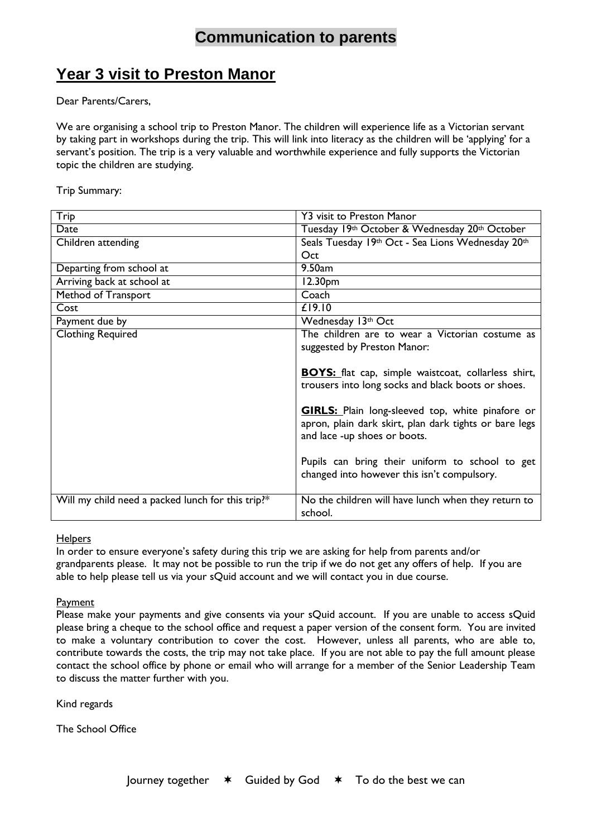## **Communication to parents**

## **Year 3 visit to Preston Manor**

Dear Parents/Carers,

We are organising a school trip to Preston Manor. The children will experience life as a Victorian servant by taking part in workshops during the trip. This will link into literacy as the children will be 'applying' for a servant's position. The trip is a very valuable and worthwhile experience and fully supports the Victorian topic the children are studying.

Trip Summary:

| Trip                                              | <b>Y3 visit to Preston Manor</b>                                                                                                                  |
|---------------------------------------------------|---------------------------------------------------------------------------------------------------------------------------------------------------|
| Date                                              | Tuesday 19th October & Wednesday 20th October                                                                                                     |
| Children attending                                | Seals Tuesday 19th Oct - Sea Lions Wednesday 20th                                                                                                 |
|                                                   | Oct                                                                                                                                               |
| Departing from school at                          | 9.50 <sub>am</sub>                                                                                                                                |
| Arriving back at school at                        | 12.30 <sub>pm</sub>                                                                                                                               |
| Method of Transport                               | Coach                                                                                                                                             |
| Cost                                              | £19.10                                                                                                                                            |
| Payment due by                                    | Wednesday 13th Oct                                                                                                                                |
| <b>Clothing Required</b>                          | The children are to wear a Victorian costume as                                                                                                   |
|                                                   | suggested by Preston Manor:                                                                                                                       |
|                                                   |                                                                                                                                                   |
|                                                   | <b>BOYS:</b> flat cap, simple waistcoat, collarless shirt,                                                                                        |
|                                                   | trousers into long socks and black boots or shoes.                                                                                                |
|                                                   | <b>GIRLS:</b> Plain long-sleeved top, white pinafore or<br>apron, plain dark skirt, plan dark tights or bare legs<br>and lace -up shoes or boots. |
|                                                   | Pupils can bring their uniform to school to get<br>changed into however this isn't compulsory.                                                    |
| Will my child need a packed lunch for this trip?* | No the children will have lunch when they return to<br>school.                                                                                    |

## **Helpers**

In order to ensure everyone's safety during this trip we are asking for help from parents and/or grandparents please. It may not be possible to run the trip if we do not get any offers of help. If you are able to help please tell us via your sQuid account and we will contact you in due course.

## **Payment**

Please make your payments and give consents via your sQuid account. If you are unable to access sQuid please bring a cheque to the school office and request a paper version of the consent form. You are invited to make a voluntary contribution to cover the cost. However, unless all parents, who are able to, contribute towards the costs, the trip may not take place. If you are not able to pay the full amount please contact the school office by phone or email who will arrange for a member of the Senior Leadership Team to discuss the matter further with you.

Kind regards

The School Office